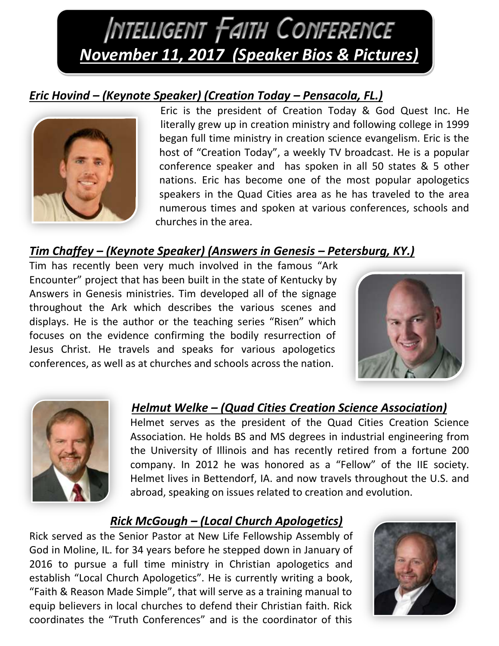# **INTELLIGENT FAITH CONFERENCE** *November 11, 2017 (Speaker Bios & Pictures)*

## *Eric Hovind – (Keynote Speaker) (Creation Today – Pensacola, FL.)*



Eric is the president of Creation Today & God Quest Inc. He literally grew up in creation ministry and following college in 1999 began full time ministry in creation science evangelism. Eric is the host of "Creation Today", a weekly TV broadcast. He is a popular conference speaker and has spoken in all 50 states & 5 other nations. Eric has become one of the most popular apologetics speakers in the Quad Cities area as he has traveled to the area numerous times and spoken at various conferences, schools and churches in the area.

## *Tim Chaffey – (Keynote Speaker) (Answers in Genesis – Petersburg, KY.)*

Tim has recently been very much involved in the famous "Ark Encounter" project that has been built in the state of Kentucky by Answers in Genesis ministries. Tim developed all of the signage throughout the Ark which describes the various scenes and displays. He is the author or the teaching series "Risen" which focuses on the evidence confirming the bodily resurrection of Jesus Christ. He travels and speaks for various apologetics conferences, as well as at churches and schools across the nation.





## *Helmut Welke – (Quad Cities Creation Science Association)*

Helmet serves as the president of the Quad Cities Creation Science Association. He holds BS and MS degrees in industrial engineering from the University of Illinois and has recently retired from a fortune 200 company. In 2012 he was honored as a "Fellow" of the IIE society. Helmet lives in Bettendorf, IA. and now travels throughout the U.S. and abroad, speaking on issues related to creation and evolution.

## *Rick McGough – (Local Church Apologetics)*

Rick served as the Senior Pastor at New Life Fellowship Assembly of God in Moline, IL. for 34 years before he stepped down in January of 2016 to pursue a full time ministry in Christian apologetics and establish "Local Church Apologetics". He is currently writing a book, "Faith & Reason Made Simple", that will serve as a training manual to equip believers in local churches to defend their Christian faith. Rick coordinates the "Truth Conferences" and is the coordinator of this